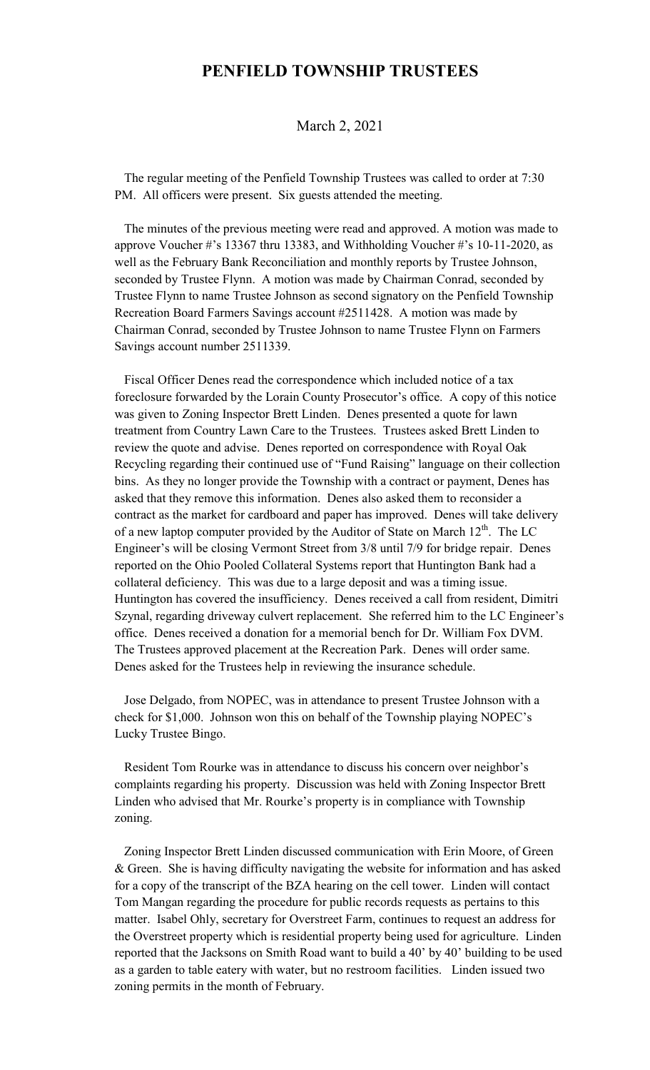## **PENFIELD TOWNSHIP TRUSTEES**

## March 2, 2021

 The regular meeting of the Penfield Township Trustees was called to order at 7:30 PM. All officers were present. Six guests attended the meeting.

 The minutes of the previous meeting were read and approved. A motion was made to approve Voucher #'s 13367 thru 13383, and Withholding Voucher #'s 10-11-2020, as well as the February Bank Reconciliation and monthly reports by Trustee Johnson, seconded by Trustee Flynn. A motion was made by Chairman Conrad, seconded by Trustee Flynn to name Trustee Johnson as second signatory on the Penfield Township Recreation Board Farmers Savings account #2511428. A motion was made by Chairman Conrad, seconded by Trustee Johnson to name Trustee Flynn on Farmers Savings account number 2511339.

 Fiscal Officer Denes read the correspondence which included notice of a tax foreclosure forwarded by the Lorain County Prosecutor's office. A copy of this notice was given to Zoning Inspector Brett Linden. Denes presented a quote for lawn treatment from Country Lawn Care to the Trustees. Trustees asked Brett Linden to review the quote and advise. Denes reported on correspondence with Royal Oak Recycling regarding their continued use of "Fund Raising" language on their collection bins. As they no longer provide the Township with a contract or payment, Denes has asked that they remove this information. Denes also asked them to reconsider a contract as the market for cardboard and paper has improved. Denes will take delivery of a new laptop computer provided by the Auditor of State on March  $12<sup>th</sup>$ . The LC Engineer's will be closing Vermont Street from 3/8 until 7/9 for bridge repair. Denes reported on the Ohio Pooled Collateral Systems report that Huntington Bank had a collateral deficiency. This was due to a large deposit and was a timing issue. Huntington has covered the insufficiency. Denes received a call from resident, Dimitri Szynal, regarding driveway culvert replacement. She referred him to the LC Engineer's office. Denes received a donation for a memorial bench for Dr. William Fox DVM. The Trustees approved placement at the Recreation Park. Denes will order same. Denes asked for the Trustees help in reviewing the insurance schedule.

 Jose Delgado, from NOPEC, was in attendance to present Trustee Johnson with a check for \$1,000. Johnson won this on behalf of the Township playing NOPEC's Lucky Trustee Bingo.

 Resident Tom Rourke was in attendance to discuss his concern over neighbor's complaints regarding his property. Discussion was held with Zoning Inspector Brett Linden who advised that Mr. Rourke's property is in compliance with Township zoning.

 Zoning Inspector Brett Linden discussed communication with Erin Moore, of Green & Green. She is having difficulty navigating the website for information and has asked for a copy of the transcript of the BZA hearing on the cell tower. Linden will contact Tom Mangan regarding the procedure for public records requests as pertains to this matter. Isabel Ohly, secretary for Overstreet Farm, continues to request an address for the Overstreet property which is residential property being used for agriculture. Linden reported that the Jacksons on Smith Road want to build a 40' by 40' building to be used as a garden to table eatery with water, but no restroom facilities. Linden issued two zoning permits in the month of February.